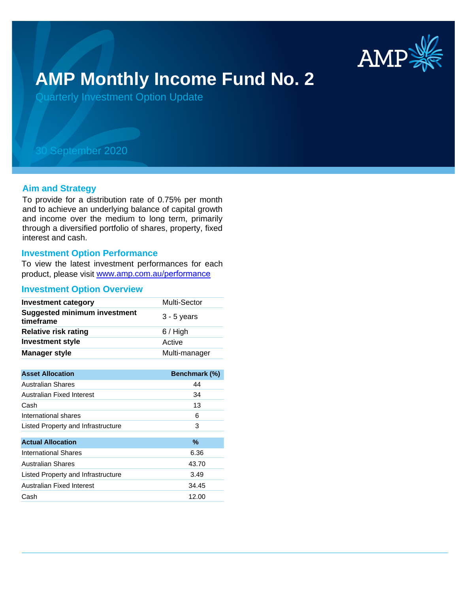

# **AMP Monthly Income Fund No. 2**

Quarterly Investment Option Update

## 30 September 2020

#### **Aim and Strategy**

To provide for a distribution rate of 0.75% per month and to achieve an underlying balance of capital growth and income over the medium to long term, primarily through a diversified portfolio of shares, property, fixed interest and cash.

#### **Investment Option Performance**

To view the latest investment performances for each product, please visit www.amp.com.au/performance

#### **Investment Option Overview**

| <b>Investment category</b>                       | Multi-Sector  |
|--------------------------------------------------|---------------|
| <b>Suggested minimum investment</b><br>timeframe | $3 - 5$ years |
| <b>Relative risk rating</b>                      | $6/$ High     |
| <b>Investment style</b>                          | Active        |
| <b>Manager style</b>                             | Multi-manager |

| <b>Asset Allocation</b>            | Benchmark (%) |
|------------------------------------|---------------|
| Australian Shares                  | 44            |
| Australian Fixed Interest          | 34            |
| Cash                               | 13            |
| International shares               | 6             |
| Listed Property and Infrastructure | 3             |
|                                    |               |
| <b>Actual Allocation</b>           | $\%$          |
| International Shares               | 6.36          |
| Australian Shares                  | 43.70         |
| Listed Property and Infrastructure | 3.49          |
| Australian Fixed Interest          | 34.45         |
| Cash                               | 12.00         |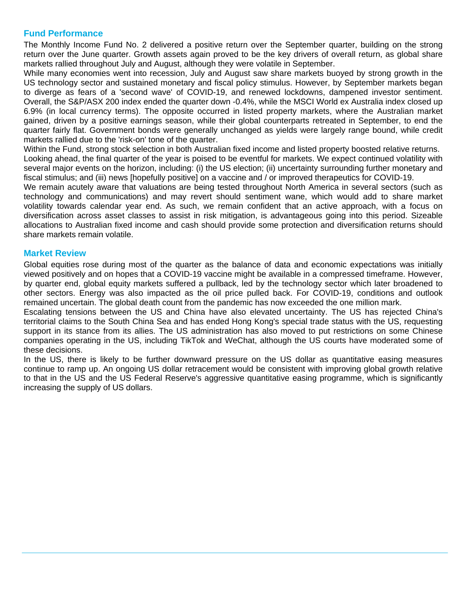### **Fund Performance**

The Monthly Income Fund No. 2 delivered a positive return over the September quarter, building on the strong return over the June quarter. Growth assets again proved to be the key drivers of overall return, as global share markets rallied throughout July and August, although they were volatile in September.

While many economies went into recession, July and August saw share markets buoyed by strong growth in the US technology sector and sustained monetary and fiscal policy stimulus. However, by September markets began to diverge as fears of a 'second wave' of COVID-19, and renewed lockdowns, dampened investor sentiment. Overall, the S&P/ASX 200 index ended the quarter down -0.4%, while the MSCI World ex Australia index closed up 6.9% (in local currency terms). The opposite occurred in listed property markets, where the Australian market gained, driven by a positive earnings season, while their global counterparts retreated in September, to end the quarter fairly flat. Government bonds were generally unchanged as yields were largely range bound, while credit markets rallied due to the 'risk-on' tone of the quarter.

Within the Fund, strong stock selection in both Australian fixed income and listed property boosted relative returns. Looking ahead, the final quarter of the year is poised to be eventful for markets. We expect continued volatility with several major events on the horizon, including: (i) the US election; (ii) uncertainty surrounding further monetary and fiscal stimulus; and (iii) news [hopefully positive] on a vaccine and / or improved therapeutics for COVID-19.

We remain acutely aware that valuations are being tested throughout North America in several sectors (such as technology and communications) and may revert should sentiment wane, which would add to share market volatility towards calendar year end. As such, we remain confident that an active approach, with a focus on diversification across asset classes to assist in risk mitigation, is advantageous going into this period. Sizeable allocations to Australian fixed income and cash should provide some protection and diversification returns should share markets remain volatile.

#### **Market Review**

Global equities rose during most of the quarter as the balance of data and economic expectations was initially viewed positively and on hopes that a COVID-19 vaccine might be available in a compressed timeframe. However, by quarter end, global equity markets suffered a pullback, led by the technology sector which later broadened to other sectors. Energy was also impacted as the oil price pulled back. For COVID-19, conditions and outlook remained uncertain. The global death count from the pandemic has now exceeded the one million mark.

Escalating tensions between the US and China have also elevated uncertainty. The US has rejected China's territorial claims to the South China Sea and has ended Hong Kong's special trade status with the US, requesting support in its stance from its allies. The US administration has also moved to put restrictions on some Chinese companies operating in the US, including TikTok and WeChat, although the US courts have moderated some of these decisions.

In the US, there is likely to be further downward pressure on the US dollar as quantitative easing measures continue to ramp up. An ongoing US dollar retracement would be consistent with improving global growth relative to that in the US and the US Federal Reserve's aggressive quantitative easing programme, which is significantly increasing the supply of US dollars.